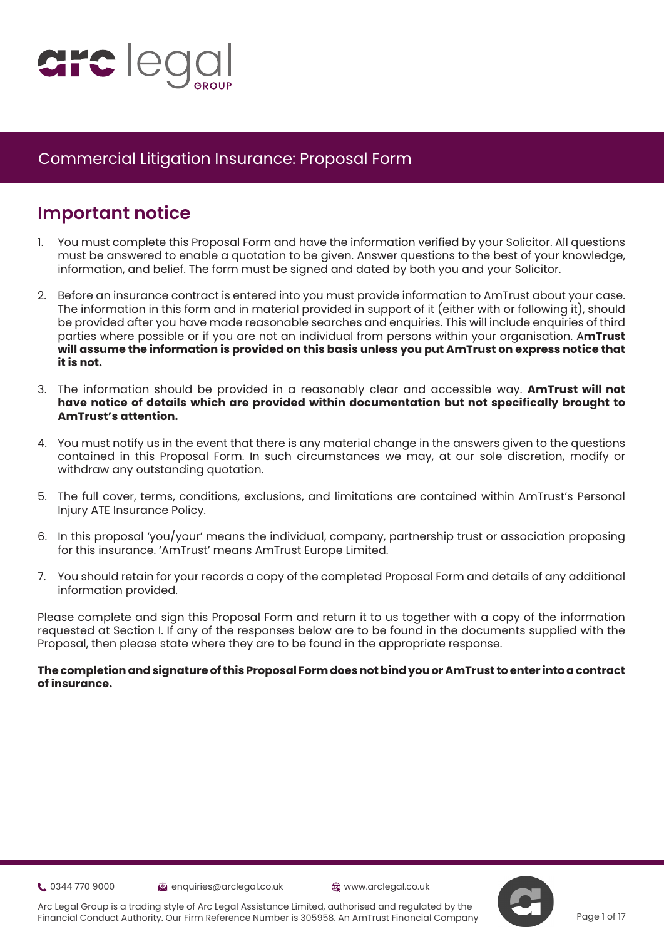

# **Important notice**

- 1. You must complete this Proposal Form and have the information verified by your Solicitor. All questions must be answered to enable a quotation to be given. Answer questions to the best of your knowledge, information, and belief. The form must be signed and dated by both you and your Solicitor.
- 2. Before an insurance contract is entered into you must provide information to AmTrust about your case. The information in this form and in material provided in support of it (either with or following it), should be provided after you have made reasonable searches and enquiries. This will include enquiries of third parties where possible or if you are not an individual from persons within your organisation. A**mTrust will assume the information is provided on this basis unless you put AmTrust on express notice that it is not.**
- 3. The information should be provided in a reasonably clear and accessible way. **AmTrust will not have notice of details which are provided within documentation but not specifically brought to AmTrust's attention.**
- 4. You must notify us in the event that there is any material change in the answers given to the questions contained in this Proposal Form. In such circumstances we may, at our sole discretion, modify or withdraw any outstanding quotation.
- 5. The full cover, terms, conditions, exclusions, and limitations are contained within AmTrust's Personal Injury ATE Insurance Policy.
- 6. In this proposal 'you/your' means the individual, company, partnership trust or association proposing for this insurance. 'AmTrust' means AmTrust Europe Limited.
- 7. You should retain for your records a copy of the completed Proposal Form and details of any additional information provided.

Please complete and sign this Proposal Form and return it to us together with a copy of the information requested at Section I. If any of the responses below are to be found in the documents supplied with the Proposal, then please state where they are to be found in the appropriate response.

#### **The completion and signature of this Proposal Form does not bind you or AmTrust to enter into a contract of insurance.**

**t.** 0344 770 9000 **enquiries@arclegal.co.uk** @www.arclegal.co.uk





Arc Legal Group is a trading style of Arc Legal Assistance Limited, authorised and regulated by the Financial Conduct Authority. Our Firm Reference Number is 305958. An AmTrust Financial Company

Page 1 of 17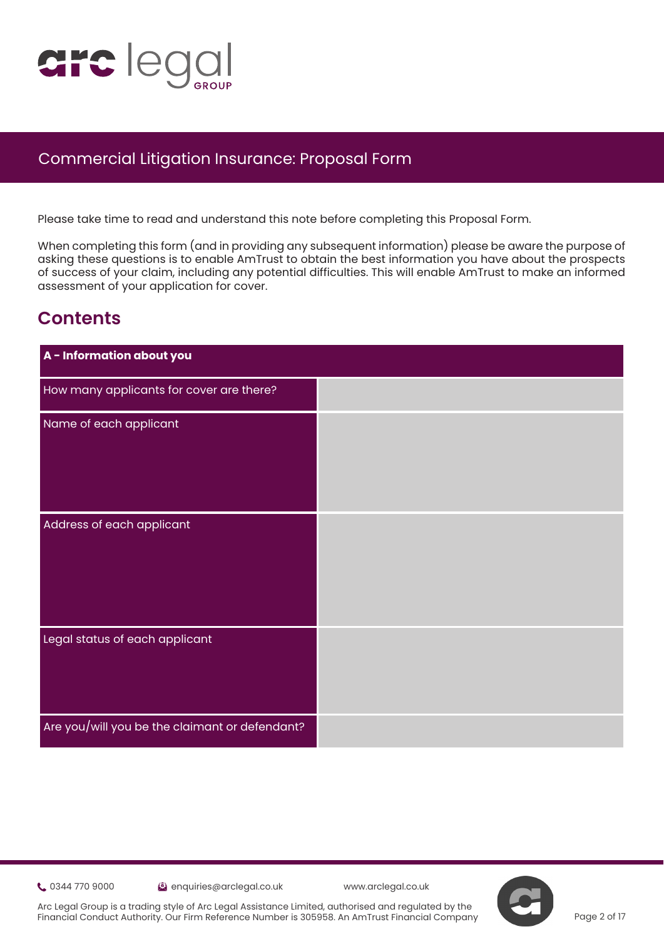

Please take time to read and understand this note before completing this Proposal Form.

When completing this form (and in providing any subsequent information) please be aware the purpose of asking these questions is to enable AmTrust to obtain the best information you have about the prospects of s[uc](https://www.justice.gov.uk/courts/procedure-rules/civil/protocol)cess of your claim, including any potential difficulties. This will enable AmTrust to make an informed assessment of your application for cover.

# **Contents**

| A - Information about you                      |  |
|------------------------------------------------|--|
| How many applicants for cover are there?       |  |
| Name of each applicant                         |  |
|                                                |  |
|                                                |  |
| Address of each applicant                      |  |
|                                                |  |
|                                                |  |
|                                                |  |
| Legal status of each applicant                 |  |
|                                                |  |
|                                                |  |
| Are you/will you be the claimant or defendant? |  |

0344 770 9000 enquiries@arclegal.co.uk www.arclegal.co.uk

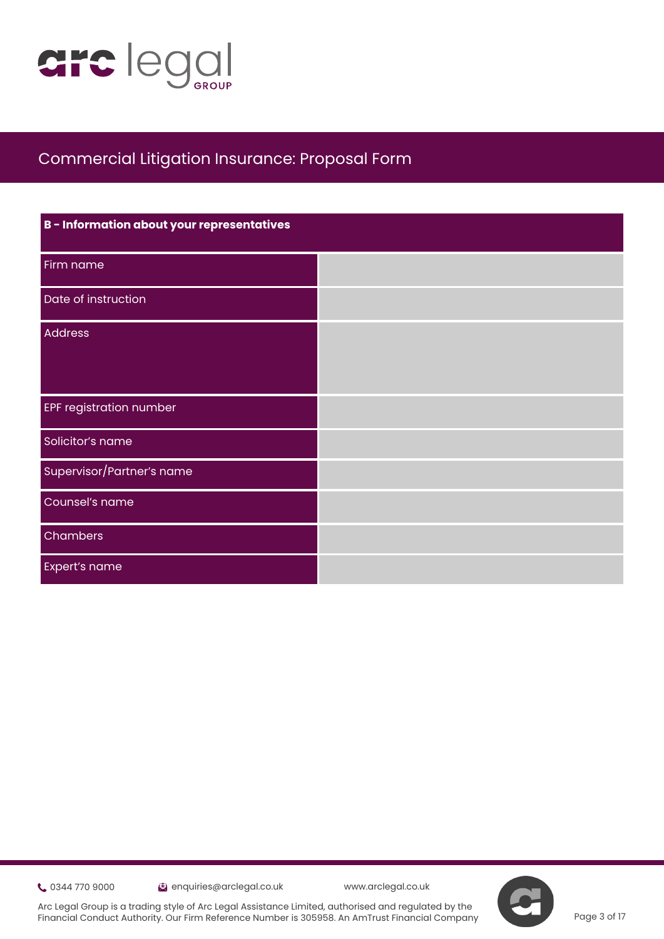

| B - Information about your representatives |  |
|--------------------------------------------|--|
| Firm name                                  |  |
| Date of instruction                        |  |
| <b>Address</b>                             |  |
|                                            |  |
| <b>EPF registration number</b>             |  |
| Solicitor's name                           |  |
| Supervisor/Partner's name                  |  |
| Counsel's name                             |  |
| Chambers                                   |  |
| Expert's name                              |  |

0344 770 9000 enquiries@arclegal.co.uk www.arclegal.co.uk

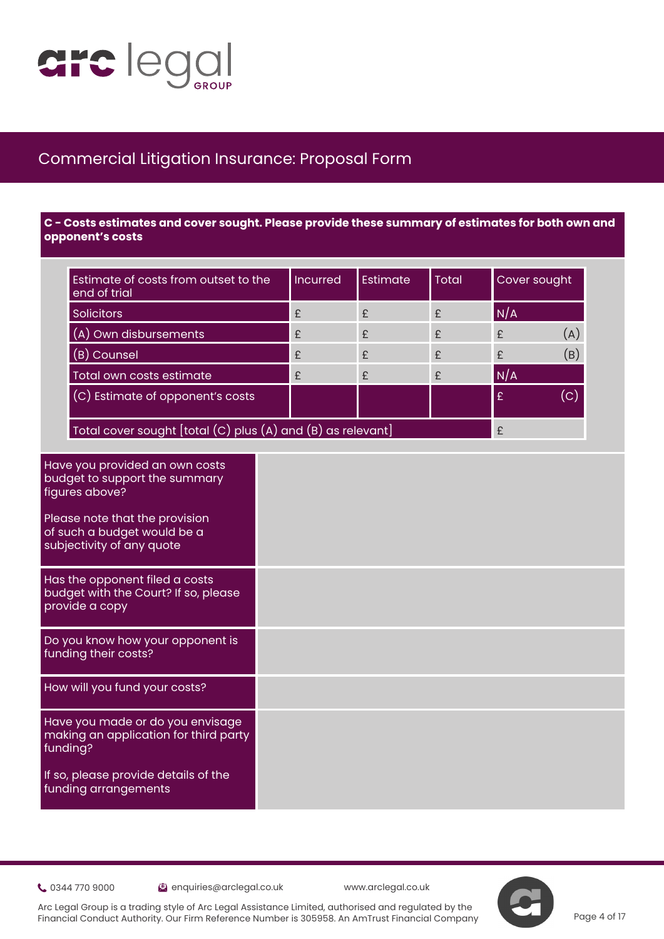

 **C - Costs estimates and cover sought. Please provide these summary of estimates for both own and opponent's costs**

| Estimate of costs from outset to the<br>end of trial                                                                                                                                   | Incurred | Estimate | <b>Total</b> | Cover sought |     |
|----------------------------------------------------------------------------------------------------------------------------------------------------------------------------------------|----------|----------|--------------|--------------|-----|
| <b>Solicitors</b>                                                                                                                                                                      | £        | £        | £            | N/A          |     |
| (A) Own disbursements                                                                                                                                                                  | £        | £        | £            | £            | (A) |
| (B) Counsel                                                                                                                                                                            | £        | £        | £            | £            | (B) |
| Total own costs estimate                                                                                                                                                               | £        | £        | £            | N/A          |     |
| (C) Estimate of opponent's costs                                                                                                                                                       |          |          |              | £            | (c) |
| Total cover sought [total (C) plus (A) and (B) as relevant]                                                                                                                            |          |          |              | £            |     |
| Please note that the provision<br>of such a budget would be a<br>subjectivity of any quote<br>Has the opponent filed a costs<br>budget with the Court? If so, please<br>provide a copy |          |          |              |              |     |
| Do you know how your opponent is<br>funding their costs?                                                                                                                               |          |          |              |              |     |
| How will you fund your costs?                                                                                                                                                          |          |          |              |              |     |
| Have you made or do you envisage<br>making an application for third party<br>funding?                                                                                                  |          |          |              |              |     |
| the contract of the contract of the contract of the contract of the contract of                                                                                                        |          |          |              |              |     |

If so, please provide details of the funding arrangements

0344 770 9000 enquiries@arclegal.co.uk www.arclegal.co.uk

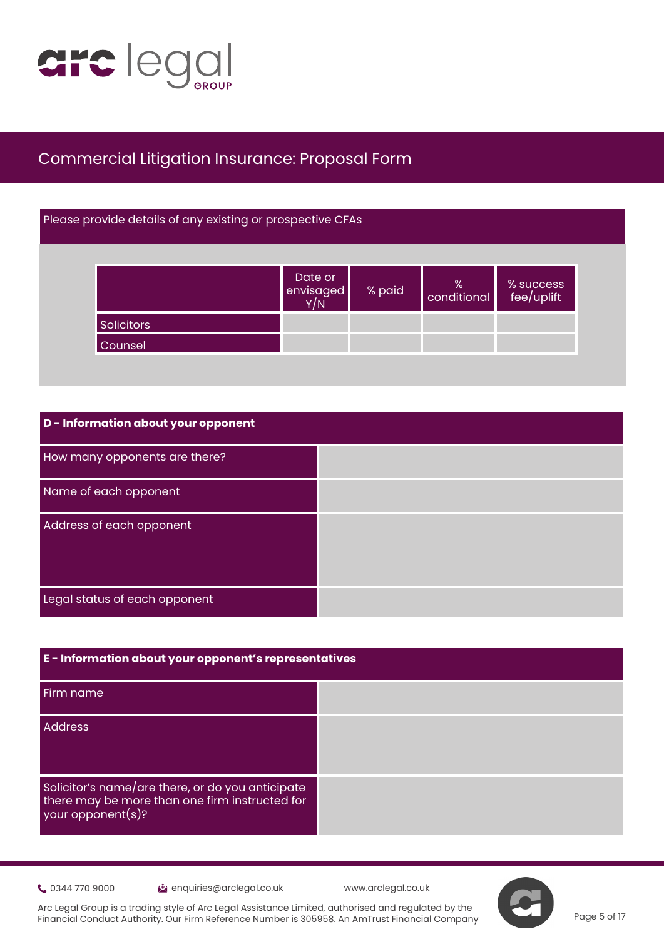

#### Please provide details of any existing or prospective CFAs

|            | Date or<br>envisaged | % paid | $\begin{array}{c} \n\% \\ \text{conditional} \n\end{array}$ | % success<br>fee/uplift |
|------------|----------------------|--------|-------------------------------------------------------------|-------------------------|
| Solicitors |                      |        |                                                             |                         |
| Counsel    |                      |        |                                                             |                         |

| D - Information about your opponent |  |
|-------------------------------------|--|
| How many opponents are there?       |  |
| Name of each opponent               |  |
| Address of each opponent            |  |
|                                     |  |
| Legal status of each opponent       |  |

| E - Information about your opponent's representatives                                                                   |  |
|-------------------------------------------------------------------------------------------------------------------------|--|
| Firm name                                                                                                               |  |
| <b>Address</b>                                                                                                          |  |
| Solicitor's name/are there, or do you anticipate<br>there may be more than one firm instructed for<br>your opponent(s)? |  |

Community 0344 770 9000 enquiries@arclegal.co.uk www.arclegal.co.uk

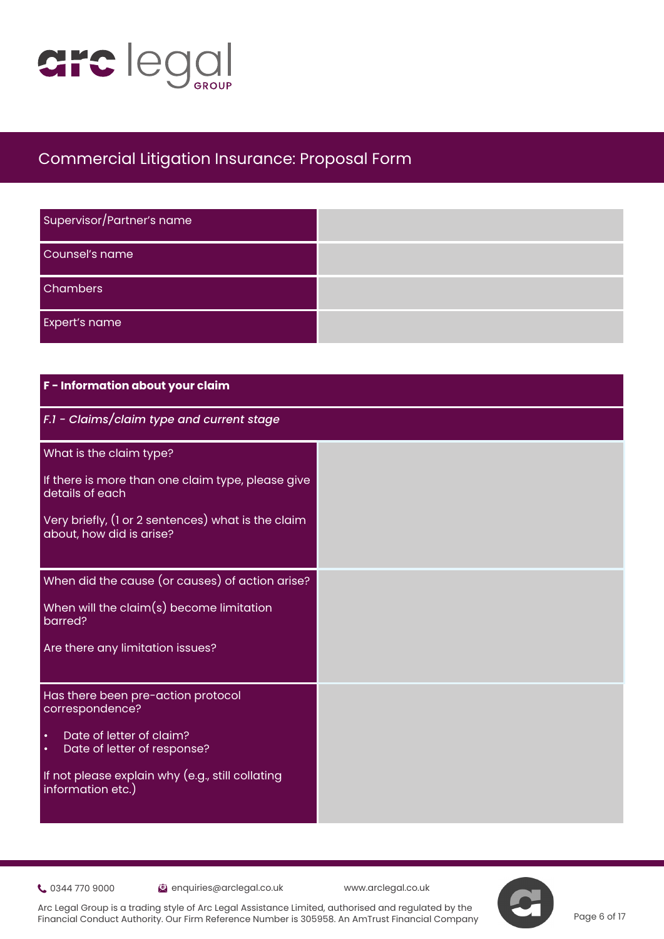

| Supervisor/Partner's name |  |
|---------------------------|--|
| Counsel's name            |  |
| <b>Chambers</b>           |  |
| <b>Expert's name</b>      |  |

| F - Information about your claim                                                  |  |
|-----------------------------------------------------------------------------------|--|
| F.1 - Claims/claim type and current stage                                         |  |
| What is the claim type?                                                           |  |
| If there is more than one claim type, please give<br>details of each              |  |
| Very briefly, (1 or 2 sentences) what is the claim<br>about, how did is arise?    |  |
| When did the cause (or causes) of action arise?                                   |  |
| When will the claim(s) become limitation<br>barred?                               |  |
| Are there any limitation issues?                                                  |  |
| Has there been pre-action protocol<br>correspondence?                             |  |
| Date of letter of claim?<br>$\bullet$<br>Date of letter of response?<br>$\bullet$ |  |
| If not please explain why (e.g., still collating<br>information etc.)             |  |

Communication of the enquiries@arclegal.co.uk www.arclegal.co.uk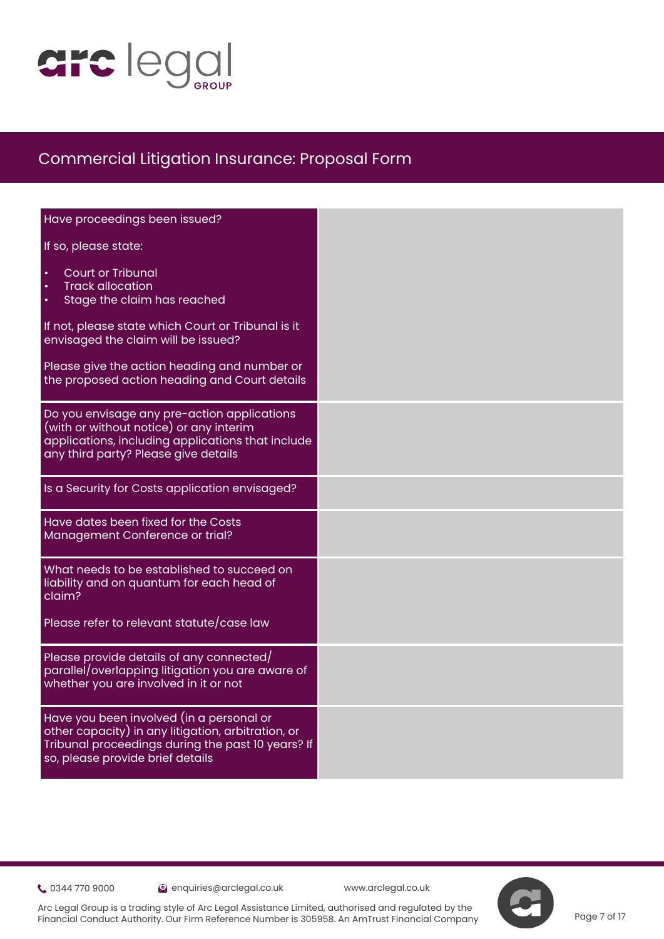

| Have proceedings been issued?                                                                                                                                                           |  |
|-----------------------------------------------------------------------------------------------------------------------------------------------------------------------------------------|--|
| If so, please state:                                                                                                                                                                    |  |
| <b>Court or Tribunal</b><br><b>Track allocation</b><br>Stage the claim has reached                                                                                                      |  |
| If not, please state which Court or Tribunal is it<br>envisaged the claim will be issued?                                                                                               |  |
| Please give the action heading and number or<br>the proposed action heading and Court details                                                                                           |  |
| Do you envisage any pre-action applications<br>(with or without notice) or any interim<br>applications, including applications that include<br>any third party? Please give details     |  |
| Is a Security for Costs application envisaged?                                                                                                                                          |  |
| Have dates been fixed for the Costs<br>Management Conference or trial?                                                                                                                  |  |
| What needs to be established to succeed on<br>liability and on quantum for each head of<br>claim?                                                                                       |  |
| Please refer to relevant statute/case law                                                                                                                                               |  |
| Please provide details of any connected/<br>parallel/overlapping litigation you are aware of<br>whether you are involved in it or not                                                   |  |
| Have you been involved (in a personal or<br>other capacity) in any litigation, arbitration, or<br>Tribunal proceedings during the past 10 years? If<br>so, please provide brief details |  |

0344 770 9000 enquiries@arclegal.co.uk www.arclegal.co.uk

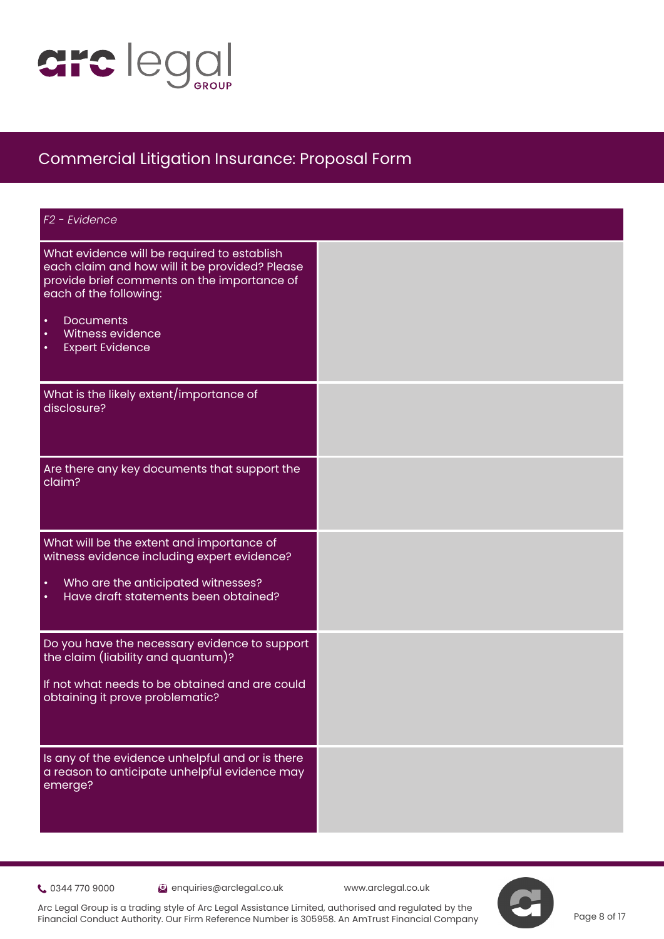

| F <sub>2</sub> - Evidence                                                                                                                                                                                                                                                       |  |
|---------------------------------------------------------------------------------------------------------------------------------------------------------------------------------------------------------------------------------------------------------------------------------|--|
| What evidence will be required to establish<br>each claim and how will it be provided? Please<br>provide brief comments on the importance of<br>each of the following:<br>$\bullet$<br><b>Documents</b><br>$\bullet$<br>Witness evidence<br>$\bullet$<br><b>Expert Evidence</b> |  |
| What is the likely extent/importance of<br>disclosure?                                                                                                                                                                                                                          |  |
| Are there any key documents that support the<br>claim?                                                                                                                                                                                                                          |  |
| What will be the extent and importance of<br>witness evidence including expert evidence?<br>Who are the anticipated witnesses?<br>$\bullet$<br>Have draft statements been obtained?<br>$\bullet$                                                                                |  |
| Do you have the necessary evidence to support<br>the claim (liability and quantum)?<br>If not what needs to be obtained and are could<br>obtaining it prove problematic?                                                                                                        |  |
| Is any of the evidence unhelpful and or is there<br>a reason to anticipate unhelpful evidence may<br>emerge?                                                                                                                                                                    |  |

0344 770 9000 enquiries@arclegal.co.uk www.arclegal.co.uk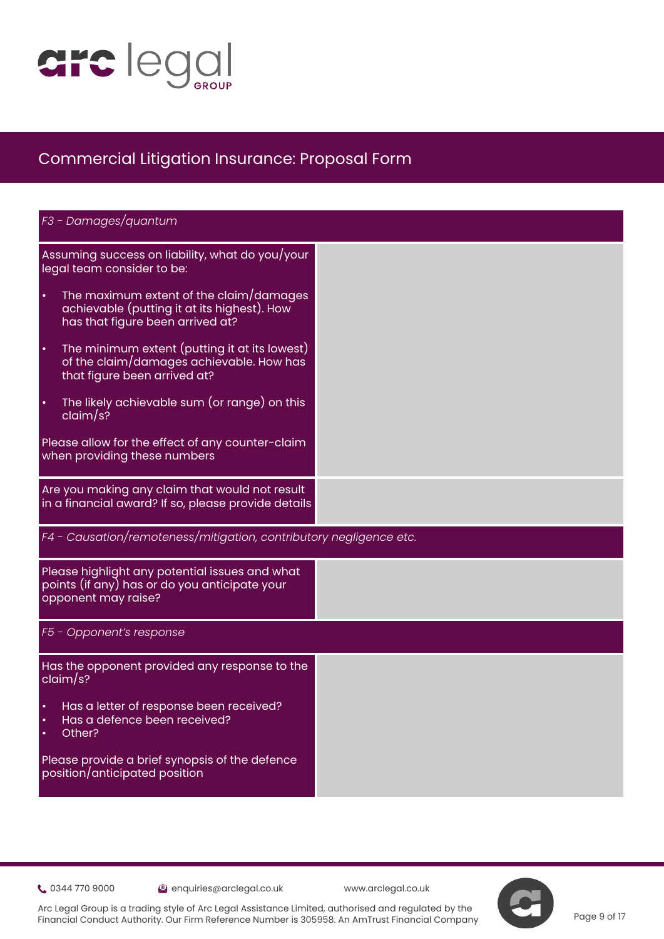

| F3 - Damages/quantum                                                                                                                    |  |
|-----------------------------------------------------------------------------------------------------------------------------------------|--|
| Assuming success on liability, what do you/your<br>legal team consider to be:                                                           |  |
| The maximum extent of the claim/damages<br>$\bullet$<br>achievable (putting it at its highest). How<br>has that figure been arrived at? |  |
| The minimum extent (putting it at its lowest)<br>$\bullet$<br>of the claim/damages achievable. How has<br>that figure been arrived at?  |  |
| The likely achievable sum (or range) on this<br>$\bullet$<br>claim/s?                                                                   |  |
| Please allow for the effect of any counter-claim<br>when providing these numbers                                                        |  |
| Are you making any claim that would not result<br>in a financial award? If so, please provide details                                   |  |
| F4 - Causation/remoteness/mitigation, contributory negligence etc.                                                                      |  |
| Please highlight any potential issues and what<br>points (if any) has or do you anticipate your<br>opponent may raise?                  |  |
| F5 - Opponent's response                                                                                                                |  |
| Has the opponent provided any response to the<br>claim/s?                                                                               |  |
| Has a letter of response been received?<br>Has a defence been received?<br>Other?<br>$\bullet$                                          |  |
| Please provide a brief synopsis of the defence<br>position/anticipated position                                                         |  |

0344 770 9000 enquiries@arclegal.co.uk www.arclegal.co.uk

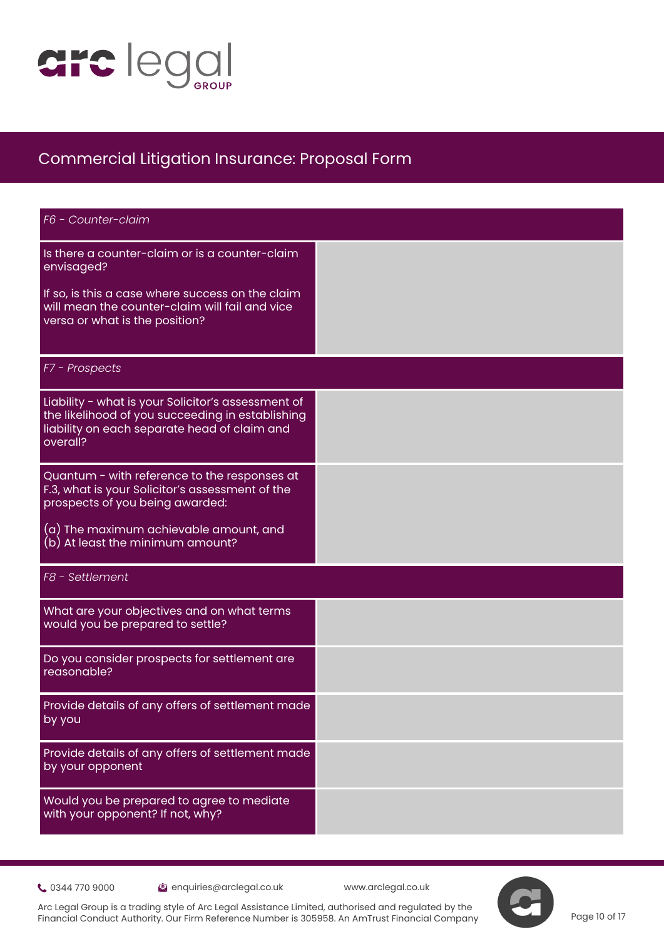

| F6 - Counter-claim                                                                                                                                                 |  |
|--------------------------------------------------------------------------------------------------------------------------------------------------------------------|--|
| Is there a counter-claim or is a counter-claim<br>envisaged?                                                                                                       |  |
| If so, is this a case where success on the claim<br>will mean the counter-claim will fail and vice<br>versa or what is the position?                               |  |
| F7 - Prospects                                                                                                                                                     |  |
| Liability - what is your Solicitor's assessment of<br>the likelihood of you succeeding in establishing<br>liability on each separate head of claim and<br>overall? |  |
| Quantum - with reference to the responses at<br>F.3, what is your Solicitor's assessment of the<br>prospects of you being awarded:                                 |  |
| (a) The maximum achievable amount, and<br>(b) At least the minimum amount?                                                                                         |  |
| F8 - Settlement                                                                                                                                                    |  |
| What are your objectives and on what terms<br>would you be prepared to settle?                                                                                     |  |
| Do you consider prospects for settlement are<br>reasonable?                                                                                                        |  |
| Provide details of any offers of settlement made<br>by you                                                                                                         |  |
| Provide details of any offers of settlement made<br>by your opponent                                                                                               |  |
| Would you be prepared to agree to mediate<br>with your opponent? If not, why?                                                                                      |  |

0344 770 9000 enquiries@arclegal.co.uk www.arclegal.co.uk

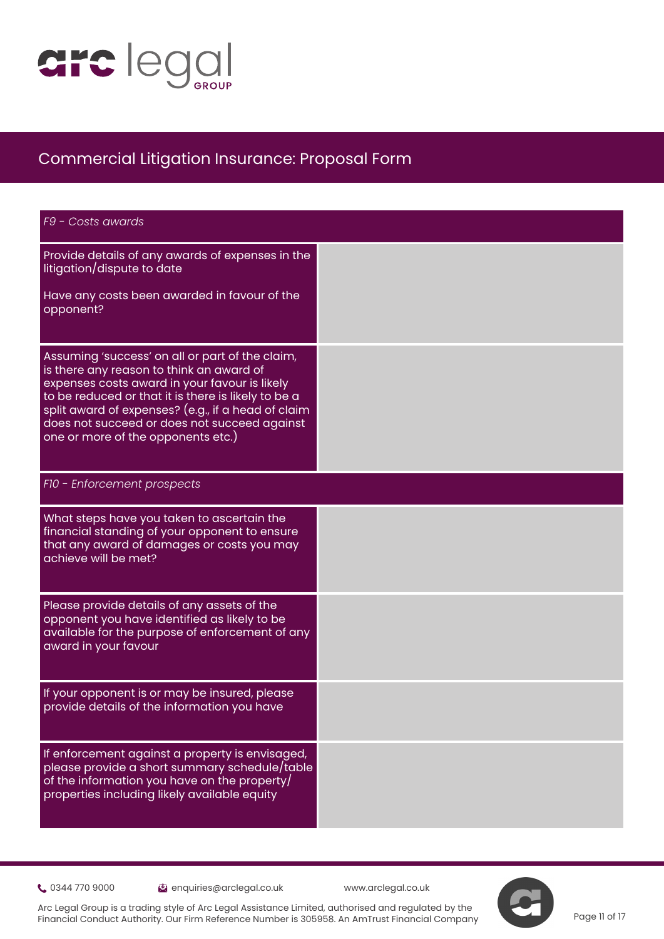

| F9 - Costs awards                                                                                                                                                                                                                                                                                                                               |  |
|-------------------------------------------------------------------------------------------------------------------------------------------------------------------------------------------------------------------------------------------------------------------------------------------------------------------------------------------------|--|
| Provide details of any awards of expenses in the<br>litigation/dispute to date                                                                                                                                                                                                                                                                  |  |
| Have any costs been awarded in favour of the<br>opponent?                                                                                                                                                                                                                                                                                       |  |
| Assuming 'success' on all or part of the claim,<br>is there any reason to think an award of<br>expenses costs award in your favour is likely<br>to be reduced or that it is there is likely to be a<br>split award of expenses? (e.g., if a head of claim<br>does not succeed or does not succeed against<br>one or more of the opponents etc.) |  |
| F10 - Enforcement prospects                                                                                                                                                                                                                                                                                                                     |  |
| What steps have you taken to ascertain the<br>financial standing of your opponent to ensure<br>that any award of damages or costs you may<br>achieve will be met?                                                                                                                                                                               |  |
| Please provide details of any assets of the<br>opponent you have identified as likely to be<br>available for the purpose of enforcement of any<br>award in your favour                                                                                                                                                                          |  |
| If your opponent is or may be insured, please<br>provide details of the information you have                                                                                                                                                                                                                                                    |  |
| If enforcement against a property is envisaged,<br>please provide a short summary schedule/table<br>of the information you have on the property/<br>properties including likely available equity                                                                                                                                                |  |

0344 770 9000 enquiries@arclegal.co.uk www.arclegal.co.uk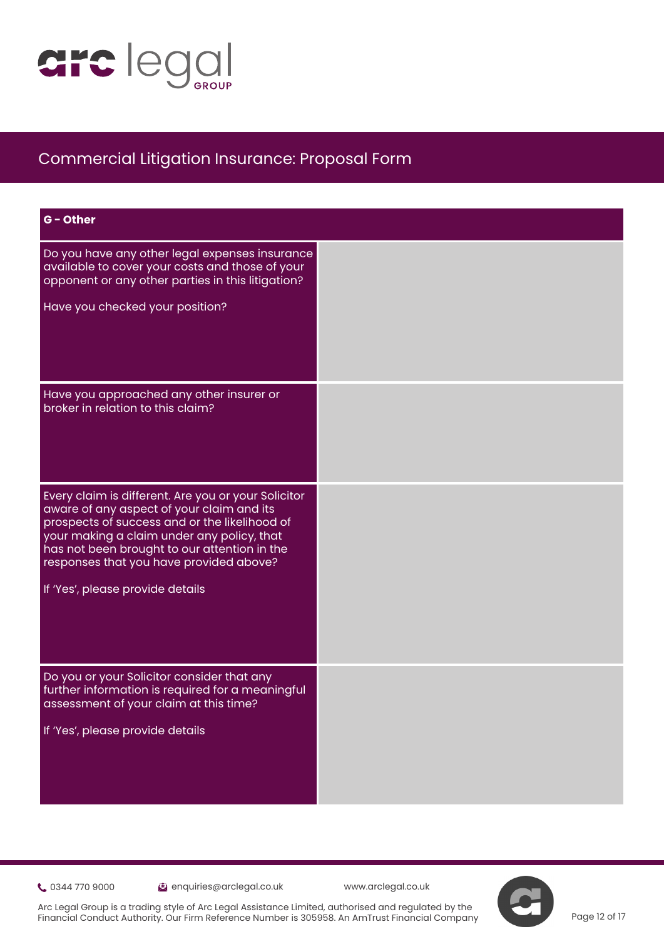

| G - Other                                                                                                                                                                                                                                                                                                                      |  |
|--------------------------------------------------------------------------------------------------------------------------------------------------------------------------------------------------------------------------------------------------------------------------------------------------------------------------------|--|
| Do you have any other legal expenses insurance<br>available to cover your costs and those of your<br>opponent or any other parties in this litigation?<br>Have you checked your position?                                                                                                                                      |  |
| Have you approached any other insurer or<br>broker in relation to this claim?                                                                                                                                                                                                                                                  |  |
| Every claim is different. Are you or your Solicitor<br>aware of any aspect of your claim and its<br>prospects of success and or the likelihood of<br>your making a claim under any policy, that<br>has not been brought to our attention in the<br>responses that you have provided above?<br>If 'Yes', please provide details |  |
| Do you or your Solicitor consider that any<br>further information is required for a meaningful<br>assessment of your claim at this time?<br>If 'Yes', please provide details                                                                                                                                                   |  |

0344 770 9000 enquiries@arclegal.co.uk www.arclegal.co.uk



Arc Legal Group is a trading style of Arc Legal Assistance Limited, authorised and regulated by the Financial Conduct Authority. Our Firm Reference Number is 305958. An AmTrust Financial Company

Page 12 of 17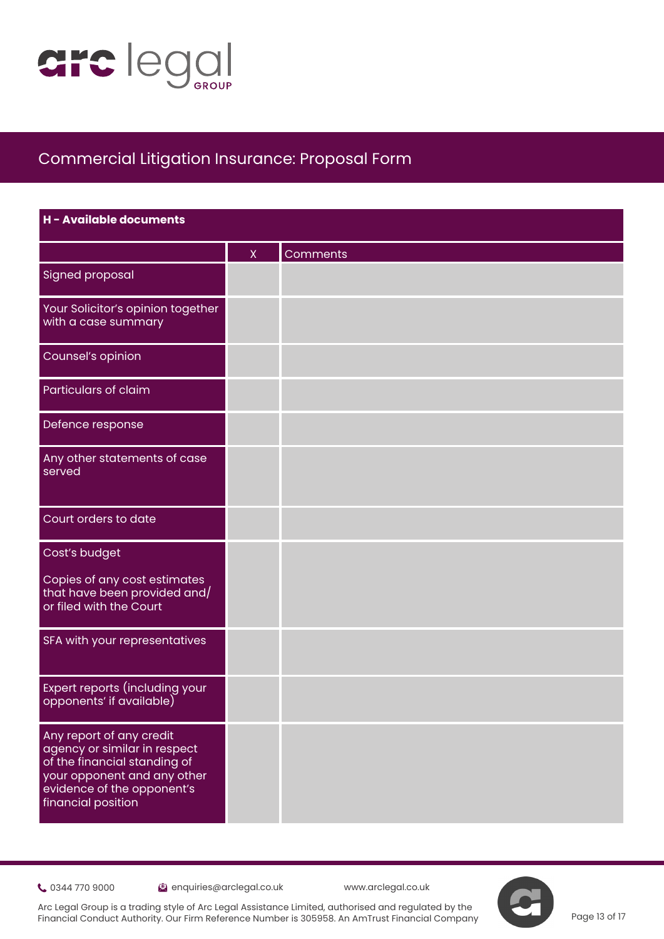

| H - Available documents                                                                                                                                                     |             |          |
|-----------------------------------------------------------------------------------------------------------------------------------------------------------------------------|-------------|----------|
|                                                                                                                                                                             | $\mathsf X$ | Comments |
| <b>Signed proposal</b>                                                                                                                                                      |             |          |
| Your Solicitor's opinion together<br>with a case summary                                                                                                                    |             |          |
| Counsel's opinion                                                                                                                                                           |             |          |
| Particulars of claim                                                                                                                                                        |             |          |
| Defence response                                                                                                                                                            |             |          |
| Any other statements of case<br>served                                                                                                                                      |             |          |
| Court orders to date                                                                                                                                                        |             |          |
| Cost's budget                                                                                                                                                               |             |          |
| Copies of any cost estimates<br>that have been provided and/<br>or filed with the Court                                                                                     |             |          |
| SFA with your representatives                                                                                                                                               |             |          |
| Expert reports (including your<br>opponents' if available)                                                                                                                  |             |          |
| Any report of any credit<br>agency or similar in respect<br>of the financial standing of<br>your opponent and any other<br>evidence of the opponent's<br>financial position |             |          |

0344 770 9000 enquiries@arclegal.co.uk www.arclegal.co.uk

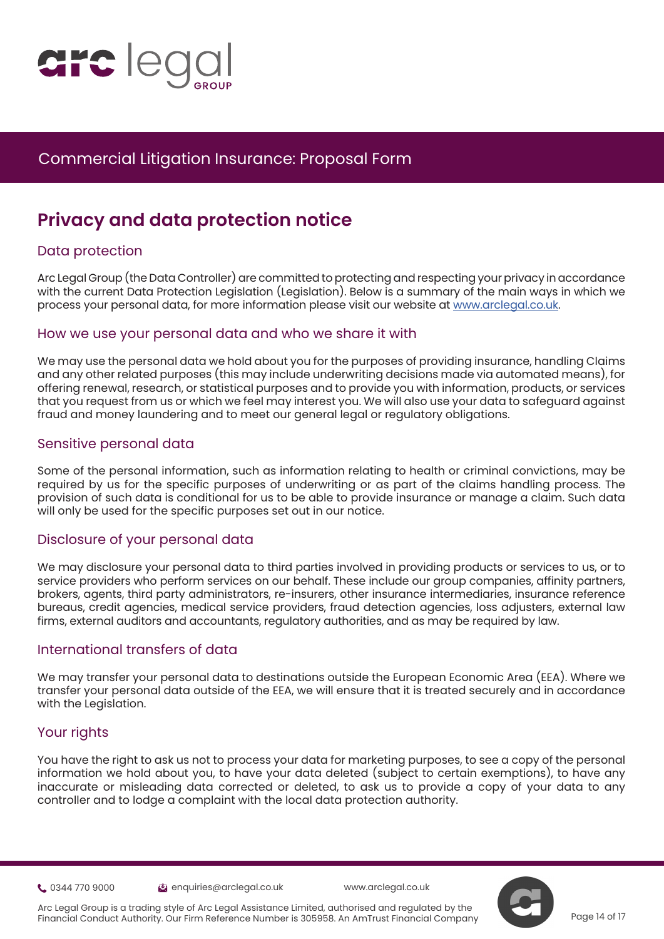

# **Privacy and data protection notice**

#### Data protection

Arc L[e](https://www.justice.gov.uk/courts/procedure-rules/civil/protocol)gal Group (the Data Controller) are committed to protecting and respecting your privacy in accordance with the current Data Protection Legislation (Legislation). Below is a summary of the main ways in which we process your personal data, for more information please visit our website at [www.arclegal.co.uk.](https://www.arclegal.co.uk/)

#### How we use your personal data and who we share it with

We may use the personal data we hold about you for the purposes of providing insurance, handling Claims and any other related purposes (this may include underwriting decisions made via automated means), for offering renewal, research, or statistical purposes and to provide you with information, products, or services that you request from us or which we feel may interest you. We will also use your data to safeguard against fraud and money laundering and to meet our general legal or regulatory obligations.

#### Sensitive personal data

Some of the personal information, such as information relating to health or criminal convictions, may be required by us for the specific purposes of underwriting or as part of the claims handling process. The provision of such data is conditional for us to be able to provide insurance or manage a claim. Such data will only be used for the specific purposes set out in our notice.

#### Disclosure of your personal data

We may disclosure your personal data to third parties involved in providing products or services to us, or to service providers who perform services on our behalf. These include our group companies, affinity partners, brokers, agents, third party administrators, re-insurers, other insurance intermediaries, insurance reference bureaus, credit agencies, medical service providers, fraud detection agencies, loss adjusters, external law firms, external auditors and accountants, regulatory authorities, and as may be required by law.

#### International transfers of data

We may transfer your personal data to destinations outside the European Economic Area (EEA). Where we transfer your personal data outside of the EEA, we will ensure that it is treated securely and in accordance with the Legislation.

#### Your rights

You have the right to ask us not to process your data for marketing purposes, to see a copy of the personal information we hold about you, to have your data deleted (subject to certain exemptions), to have any inaccurate or misleading data corrected or deleted, to ask us to provide a copy of your data to any controller and to lodge a complaint with the local data protection authority.

0344 770 9000 enquiries@arclegal.co.uk www.arclegal.co.uk



Arc Legal Group is a trading style of Arc Legal Assistance Limited, authorised and regulated by the Financial Conduct Authority. Our Firm Reference Number is 305958. An AmTrust Financial Company

Page 14 of 17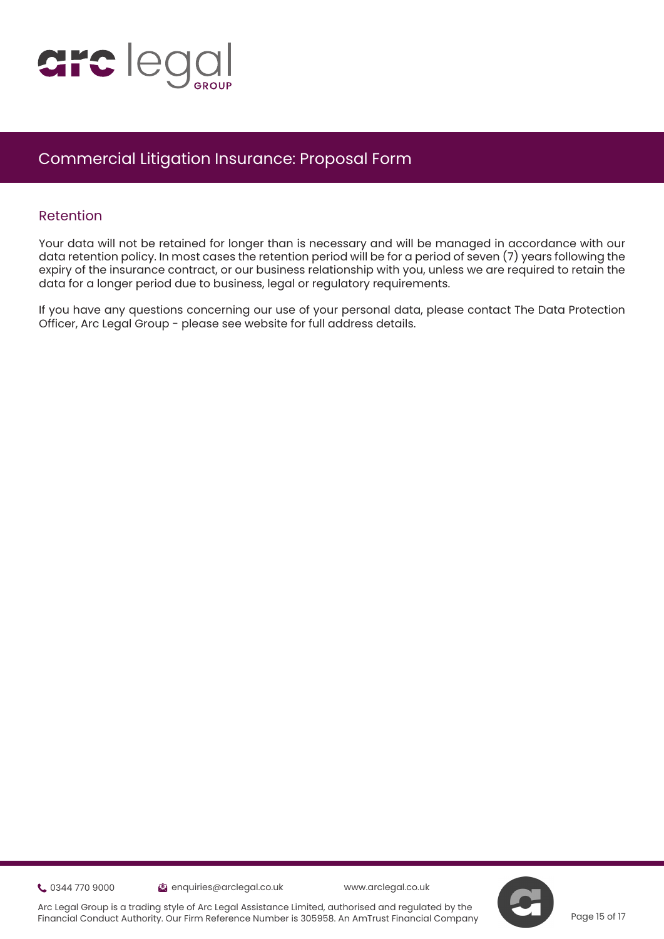

#### Retention

Your data will not be retained for longer than is necessary and will be managed in accordance with our data retention policy. In most cases the retention period will be for a period of seven (7) years following the expiry of the insurance contract, or our business relationship with you, unless we are required to retain the dat[a](https://www.justice.gov.uk/courts/procedure-rules/civil/protocol) for a longer period due to business, legal or regulatory requirements.

If you have any questions concerning our use of your personal data, please contact The Data Protection Officer, Arc Legal Group - please see website for full address details.

0344 770 9000 enquiries@arclegal.co.uk www.arclegal.co.uk

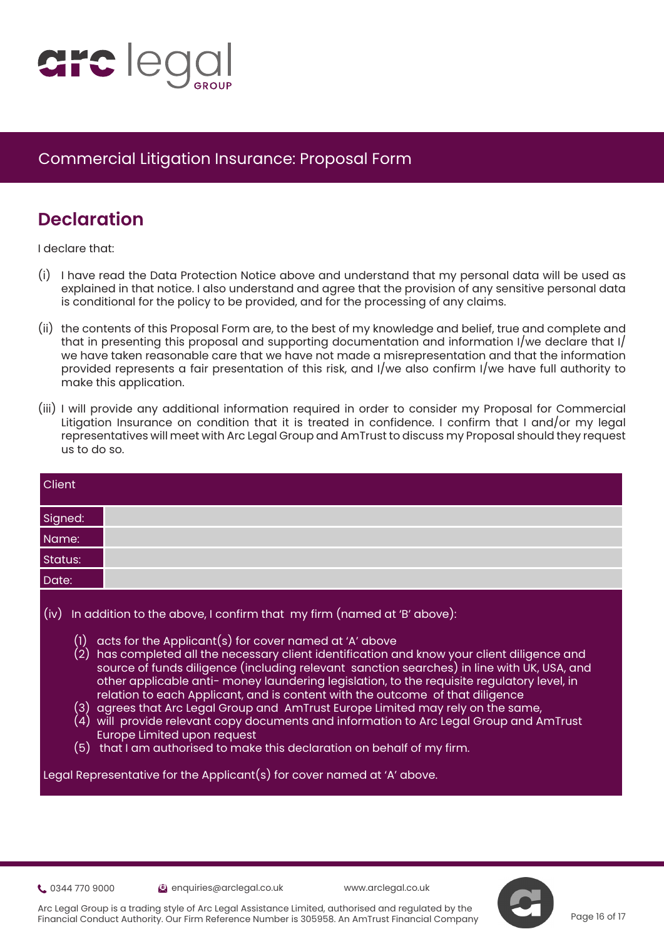

# **Declaration**

I declare that:

- (i) [I](https://www.justice.gov.uk/courts/procedure-rules/civil/protocol) have read the Data Protection Notice above and understand that my personal data will be used as explained in that notice. I also understand and agree that the provision of any sensitive personal data is conditional for the policy to be provided, and for the processing of any claims.
- (ii) the contents of this Proposal Form are, to the best of my knowledge and belief, true and complete and that in presenting this proposal and supporting documentation and information I/we declare that I/ we have taken reasonable care that we have not made a misrepresentation and that the information provided represents a fair presentation of this risk, and I/we also confirm I/we have full authority to make this application.
- (iii) I will provide any additional information required in order to consider my Proposal for Commercial Litigation Insurance on condition that it is treated in confidence. I confirm that I and/or my legal representatives will meet with Arc Legal Group and AmTrust to discuss my Proposal should they request us to do so.

| Client      |                                                                                                                                                                                                                                                                                                                                                                                                                                                                                                                                                                                                                                                                                                                                                                                                                                                                                                                  |
|-------------|------------------------------------------------------------------------------------------------------------------------------------------------------------------------------------------------------------------------------------------------------------------------------------------------------------------------------------------------------------------------------------------------------------------------------------------------------------------------------------------------------------------------------------------------------------------------------------------------------------------------------------------------------------------------------------------------------------------------------------------------------------------------------------------------------------------------------------------------------------------------------------------------------------------|
| Signed:     |                                                                                                                                                                                                                                                                                                                                                                                                                                                                                                                                                                                                                                                                                                                                                                                                                                                                                                                  |
| Name:       |                                                                                                                                                                                                                                                                                                                                                                                                                                                                                                                                                                                                                                                                                                                                                                                                                                                                                                                  |
| Status:     |                                                                                                                                                                                                                                                                                                                                                                                                                                                                                                                                                                                                                                                                                                                                                                                                                                                                                                                  |
| Date:       |                                                                                                                                                                                                                                                                                                                                                                                                                                                                                                                                                                                                                                                                                                                                                                                                                                                                                                                  |
| (iv)<br>(1) | In addition to the above, I confirm that my firm (named at 'B' above):<br>acts for the Applicant(s) for cover named at 'A' above<br>(2) has completed all the necessary client identification and know your client diligence and<br>source of funds diligence (including relevant sanction searches) in line with UK, USA, and<br>other applicable anti- money laundering legislation, to the requisite regulatory level, in<br>relation to each Applicant, and is content with the outcome of that diligence<br>(3) agrees that Arc Legal Group and AmTrust Europe Limited may rely on the same,<br>$\left( 4\right) \,$ will $\,$ provide relevant copy documents and information to Arc Legal Group and AmTrust<br><b>Europe Limited upon request</b><br>$(5)$ that I am authorised to make this declaration on behalf of my firm.<br>Legal Representative for the Applicant(s) for cover named at 'A' above. |

0344 770 9000 enquiries@arclegal.co.uk www.arclegal.co.uk



Page 16 of 17